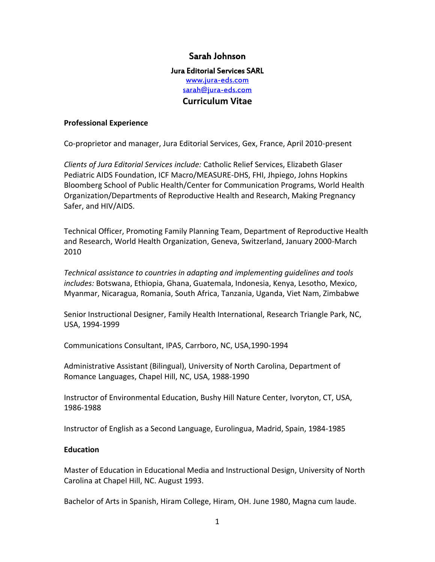# Sarah Johnson

## Jura Editorial Services SARL <www.jura-eds.com> [sarah@jura-eds.com](mailto:sarah@jura-eds.com) **Curriculum Vitae**

### **Professional Experience**

Co-proprietor and manager, Jura Editorial Services, Gex, France, April 2010-present

*Clients of Jura Editorial Services include:* Catholic Relief Services, Elizabeth Glaser Pediatric AIDS Foundation, ICF Macro/MEASURE-DHS, FHI, Jhpiego, Johns Hopkins Bloomberg School of Public Health/Center for Communication Programs, World Health Organization/Departments of Reproductive Health and Research, Making Pregnancy Safer, and HIV/AIDS.

Technical Officer, Promoting Family Planning Team, Department of Reproductive Health and Research, World Health Organization, Geneva, Switzerland, January 2000-March 2010

*Technical assistance to countries in adapting and implementing guidelines and tools includes:* Botswana, Ethiopia, Ghana, Guatemala, Indonesia, Kenya, Lesotho, Mexico, Myanmar, Nicaragua, Romania, South Africa, Tanzania, Uganda, Viet Nam, Zimbabwe

Senior Instructional Designer, Family Health International, Research Triangle Park, NC, USA, 1994-1999

Communications Consultant, IPAS, Carrboro, NC, USA,1990-1994

Administrative Assistant (Bilingual), University of North Carolina, Department of Romance Languages, Chapel Hill, NC, USA, 1988-1990

Instructor of Environmental Education, Bushy Hill Nature Center, Ivoryton, CT, USA, 1986-1988

Instructor of English as a Second Language, Eurolingua, Madrid, Spain, 1984-1985

#### **Education**

Master of Education in Educational Media and Instructional Design, University of North Carolina at Chapel Hill, NC. August 1993.

Bachelor of Arts in Spanish, Hiram College, Hiram, OH. June 1980, Magna cum laude.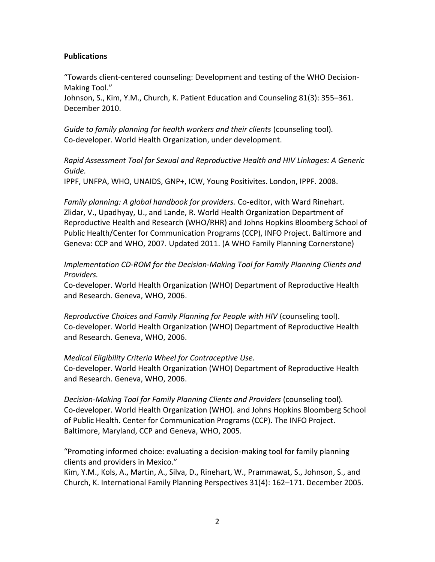### **Publications**

"Towards client-centered counseling: Development and testing of the WHO Decision-Making Tool."

Johnson, S., Kim, Y.M., Church, K. Patient Education and Counseling 81(3): 355–361. December 2010.

*Guide to family planning for health workers and their clients* (counseling tool)*.* Co-developer. World Health Organization, under development.

*Rapid Assessment Tool for Sexual and Reproductive Health and HIV Linkages: A Generic Guide.*

IPPF, UNFPA, WHO, UNAIDS, GNP+, ICW, Young Positivites. London, IPPF. 2008.

*Family planning: A global handbook for providers.* Co-editor, with Ward Rinehart. Zlidar, V., Upadhyay, U., and Lande, R. World Health Organization Department of Reproductive Health and Research (WHO/RHR) and Johns Hopkins Bloomberg School of Public Health/Center for Communication Programs (CCP), INFO Project. Baltimore and Geneva: CCP and WHO, 2007. Updated 2011. (A WHO Family Planning Cornerstone)

*Implementation CD-ROM for the Decision-Making Tool for Family Planning Clients and Providers.*

Co-developer. World Health Organization (WHO) Department of Reproductive Health and Research. Geneva, WHO, 2006.

*Reproductive Choices and Family Planning for People with HIV* (counseling tool). Co-developer. World Health Organization (WHO) Department of Reproductive Health and Research. Geneva, WHO, 2006.

*Medical Eligibility Criteria Wheel for Contraceptive Use.* 

Co-developer. World Health Organization (WHO) Department of Reproductive Health and Research. Geneva, WHO, 2006.

*Decision-Making Tool for Family Planning Clients and Providers* (counseling tool)*.* Co-developer. World Health Organization (WHO). and Johns Hopkins Bloomberg School of Public Health. Center for Communication Programs (CCP). The INFO Project. Baltimore, Maryland, CCP and Geneva, WHO, 2005.

"Promoting informed choice: evaluating a decision-making tool for family planning clients and providers in Mexico."

Kim, Y.M., Kols, A., Martin, A., Silva, D., Rinehart, W., Prammawat, S., Johnson, S., and Church, K. International Family Planning Perspectives 31(4): 162–171. December 2005.